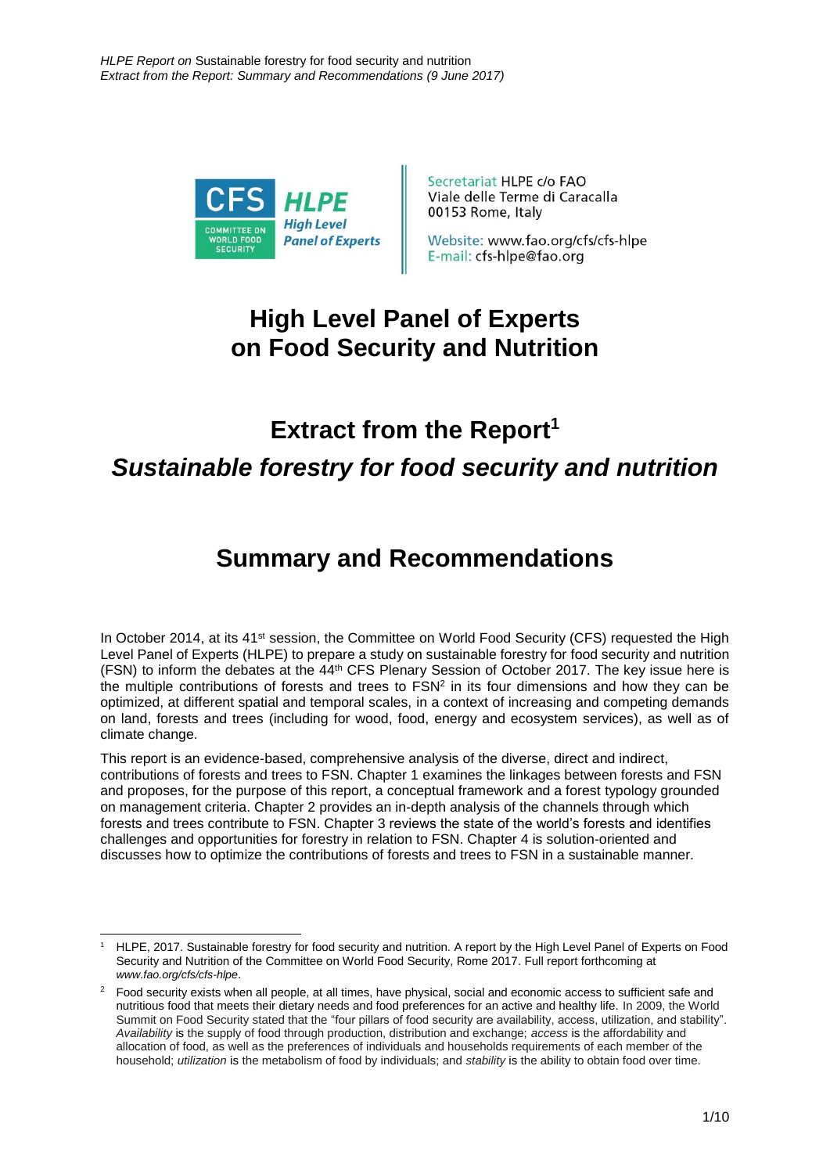

Secretariat HLPE c/o FAO Viale delle Terme di Caracalla 00153 Rome, Italy

Website: www.fao.org/cfs/cfs-hlpe E-mail: cfs-hlpe@fao.org

## **High Level Panel of Experts on Food Security and Nutrition**

# **Extract from the Report<sup>1</sup>** *Sustainable forestry for food security and nutrition*

## **Summary and Recommendations**

In October 2014, at its 41<sup>st</sup> session, the Committee on World Food Security (CFS) requested the High Level Panel of Experts (HLPE) to prepare a study on sustainable forestry for food security and nutrition (FSN) to inform the debates at the 44th CFS Plenary Session of October 2017. The key issue here is the multiple contributions of forests and trees to  $FSN<sup>2</sup>$  in its four dimensions and how they can be optimized, at different spatial and temporal scales, in a context of increasing and competing demands on land, forests and trees (including for wood, food, energy and ecosystem services), as well as of climate change.

This report is an evidence-based, comprehensive analysis of the diverse, direct and indirect, contributions of forests and trees to FSN. Chapter 1 examines the linkages between forests and FSN and proposes, for the purpose of this report, a conceptual framework and a forest typology grounded on management criteria. Chapter 2 provides an in-depth analysis of the channels through which forests and trees contribute to FSN. Chapter 3 reviews the state of the world's forests and identifies challenges and opportunities for forestry in relation to FSN. Chapter 4 is solution-oriented and discusses how to optimize the contributions of forests and trees to FSN in a sustainable manner.

<sup>1</sup> <sup>1</sup> HLPE, 2017. Sustainable forestry for food security and nutrition. A report by the High Level Panel of Experts on Food Security and Nutrition of the Committee on World Food Security, Rome 2017. Full report forthcoming at *[www.fao.org/cfs/cfs-hlpe](http://www.fao.org/cfs/cfs-hlpe)*.

<sup>&</sup>lt;sup>2</sup> Food security exists when all people, at all times, have physical, social and economic access to sufficient safe and nutritious food that meets their dietary needs and food preferences for an active and healthy life. In 2009, the World Summit on Food Security stated that the "four pillars of food security are availability, access, utilization, and stability". *Availability* is the supply of food through production, distribution and exchange; *access* is the affordability and allocation of food, as well as the preferences of individuals and households requirements of each member of the household; *utilization* is the metabolism of food by individuals; and *stability* is the ability to obtain food over time.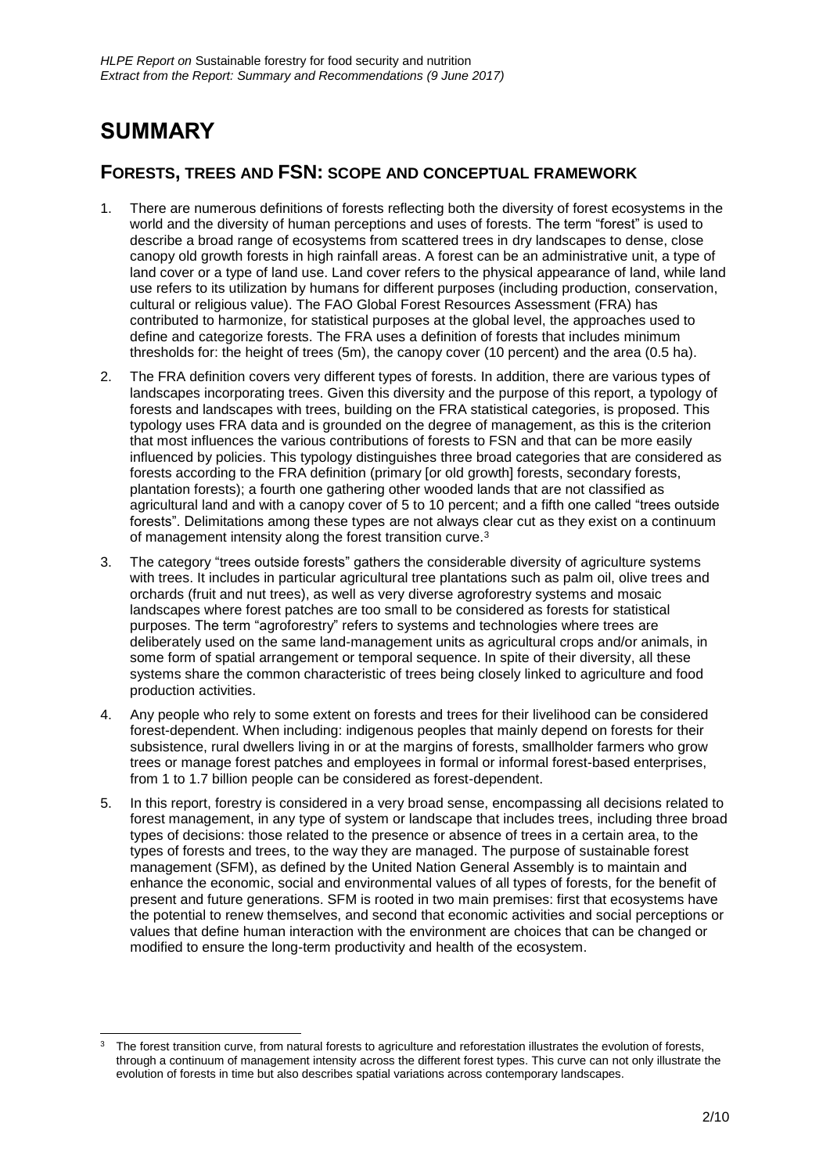## **SUMMARY**

#### **FORESTS, TREES AND FSN: SCOPE AND CONCEPTUAL FRAMEWORK**

- 1. There are numerous definitions of forests reflecting both the diversity of forest ecosystems in the world and the diversity of human perceptions and uses of forests. The term "forest" is used to describe a broad range of ecosystems from scattered trees in dry landscapes to dense, close canopy old growth forests in high rainfall areas. A forest can be an administrative unit, a type of land cover or a type of land use. Land cover refers to the physical appearance of land, while land use refers to its utilization by humans for different purposes (including production, conservation, cultural or religious value). The FAO Global Forest Resources Assessment (FRA) has contributed to harmonize, for statistical purposes at the global level, the approaches used to define and categorize forests. The FRA uses a definition of forests that includes minimum thresholds for: the height of trees (5m), the canopy cover (10 percent) and the area (0.5 ha).
- 2. The FRA definition covers very different types of forests. In addition, there are various types of landscapes incorporating trees. Given this diversity and the purpose of this report, a typology of forests and landscapes with trees, building on the FRA statistical categories, is proposed. This typology uses FRA data and is grounded on the degree of management, as this is the criterion that most influences the various contributions of forests to FSN and that can be more easily influenced by policies. This typology distinguishes three broad categories that are considered as forests according to the FRA definition (primary for old growth) forests, secondary forests, plantation forests); a fourth one gathering other wooded lands that are not classified as agricultural land and with a canopy cover of 5 to 10 percent; and a fifth one called "trees outside forests". Delimitations among these types are not always clear cut as they exist on a continuum of management intensity along the forest transition curve.<sup>3</sup>
- 3. The category "trees outside forests" gathers the considerable diversity of agriculture systems with trees. It includes in particular agricultural tree plantations such as palm oil, olive trees and orchards (fruit and nut trees), as well as very diverse agroforestry systems and mosaic landscapes where forest patches are too small to be considered as forests for statistical purposes. The term "agroforestry" refers to systems and technologies where trees are deliberately used on the same land-management units as agricultural crops and/or animals, in some form of spatial arrangement or temporal sequence. In spite of their diversity, all these systems share the common characteristic of trees being closely linked to agriculture and food production activities.
- 4. Any people who rely to some extent on forests and trees for their livelihood can be considered forest-dependent. When including: indigenous peoples that mainly depend on forests for their subsistence, rural dwellers living in or at the margins of forests, smallholder farmers who grow trees or manage forest patches and employees in formal or informal forest-based enterprises, from 1 to 1.7 billion people can be considered as forest-dependent.
- 5. In this report, forestry is considered in a very broad sense, encompassing all decisions related to forest management, in any type of system or landscape that includes trees, including three broad types of decisions: those related to the presence or absence of trees in a certain area, to the types of forests and trees, to the way they are managed. The purpose of sustainable forest management (SFM), as defined by the United Nation General Assembly is to maintain and enhance the economic, social and environmental values of all types of forests, for the benefit of present and future generations. SFM is rooted in two main premises: first that ecosystems have the potential to renew themselves, and second that economic activities and social perceptions or values that define human interaction with the environment are choices that can be changed or modified to ensure the long-term productivity and health of the ecosystem.

<sup>-</sup><sup>3</sup> The forest transition curve, from natural forests to agriculture and reforestation illustrates the evolution of forests, through a continuum of management intensity across the different forest types. This curve can not only illustrate the evolution of forests in time but also describes spatial variations across contemporary landscapes.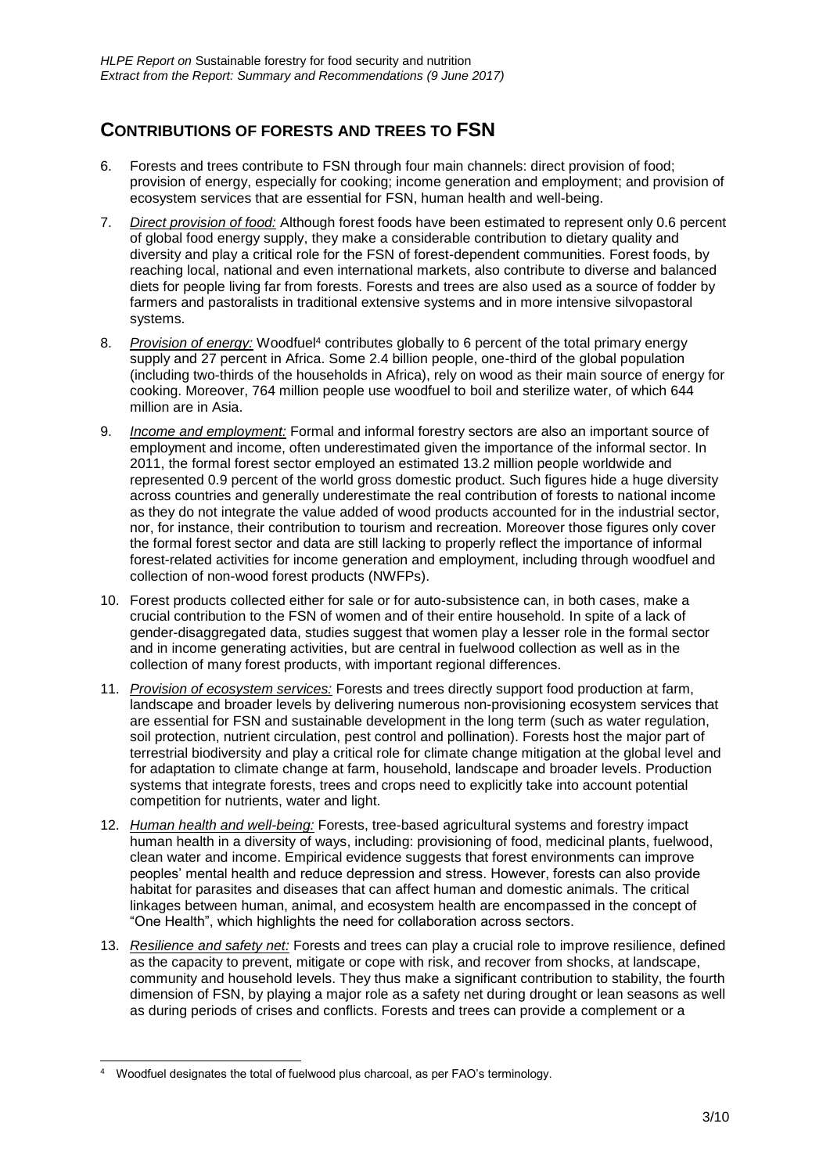## **CONTRIBUTIONS OF FORESTS AND TREES TO FSN**

- 6. Forests and trees contribute to FSN through four main channels: direct provision of food; provision of energy, especially for cooking; income generation and employment; and provision of ecosystem services that are essential for FSN, human health and well-being.
- 7. *Direct provision of food:* Although forest foods have been estimated to represent only 0.6 percent of global food energy supply, they make a considerable contribution to dietary quality and diversity and play a critical role for the FSN of forest-dependent communities. Forest foods, by reaching local, national and even international markets, also contribute to diverse and balanced diets for people living far from forests. Forests and trees are also used as a source of fodder by farmers and pastoralists in traditional extensive systems and in more intensive silvopastoral systems.
- 8. *Provision of energy:* Woodfuel<sup>4</sup> contributes globally to 6 percent of the total primary energy supply and 27 percent in Africa. Some 2.4 billion people, one-third of the global population (including two-thirds of the households in Africa), rely on wood as their main source of energy for cooking. Moreover, 764 million people use woodfuel to boil and sterilize water, of which 644 million are in Asia.
- 9. *Income and employment:* Formal and informal forestry sectors are also an important source of employment and income, often underestimated given the importance of the informal sector. In 2011, the formal forest sector employed an estimated 13.2 million people worldwide and represented 0.9 percent of the world gross domestic product. Such figures hide a huge diversity across countries and generally underestimate the real contribution of forests to national income as they do not integrate the value added of wood products accounted for in the industrial sector, nor, for instance, their contribution to tourism and recreation. Moreover those figures only cover the formal forest sector and data are still lacking to properly reflect the importance of informal forest-related activities for income generation and employment, including through woodfuel and collection of non-wood forest products (NWFPs).
- 10. Forest products collected either for sale or for auto-subsistence can, in both cases, make a crucial contribution to the FSN of women and of their entire household. In spite of a lack of gender-disaggregated data, studies suggest that women play a lesser role in the formal sector and in income generating activities, but are central in fuelwood collection as well as in the collection of many forest products, with important regional differences.
- 11. *Provision of ecosystem services:* Forests and trees directly support food production at farm, landscape and broader levels by delivering numerous non-provisioning ecosystem services that are essential for FSN and sustainable development in the long term (such as water regulation, soil protection, nutrient circulation, pest control and pollination). Forests host the major part of terrestrial biodiversity and play a critical role for climate change mitigation at the global level and for adaptation to climate change at farm, household, landscape and broader levels. Production systems that integrate forests, trees and crops need to explicitly take into account potential competition for nutrients, water and light.
- 12. *Human health and well-being:* Forests, tree-based agricultural systems and forestry impact human health in a diversity of ways, including: provisioning of food, medicinal plants, fuelwood, clean water and income. Empirical evidence suggests that forest environments can improve peoples' mental health and reduce depression and stress. However, forests can also provide habitat for parasites and diseases that can affect human and domestic animals. The critical linkages between human, animal, and ecosystem health are encompassed in the concept of "One Health", which highlights the need for collaboration across sectors.
- 13. *Resilience and safety net:* Forests and trees can play a crucial role to improve resilience, defined as the capacity to prevent, mitigate or cope with risk, and recover from shocks, at landscape, community and household levels. They thus make a significant contribution to stability, the fourth dimension of FSN, by playing a major role as a safety net during drought or lean seasons as well as during periods of crises and conflicts. Forests and trees can provide a complement or a

<sup>1</sup> <sup>4</sup> Woodfuel designates the total of fuelwood plus charcoal, as per FAO's terminology.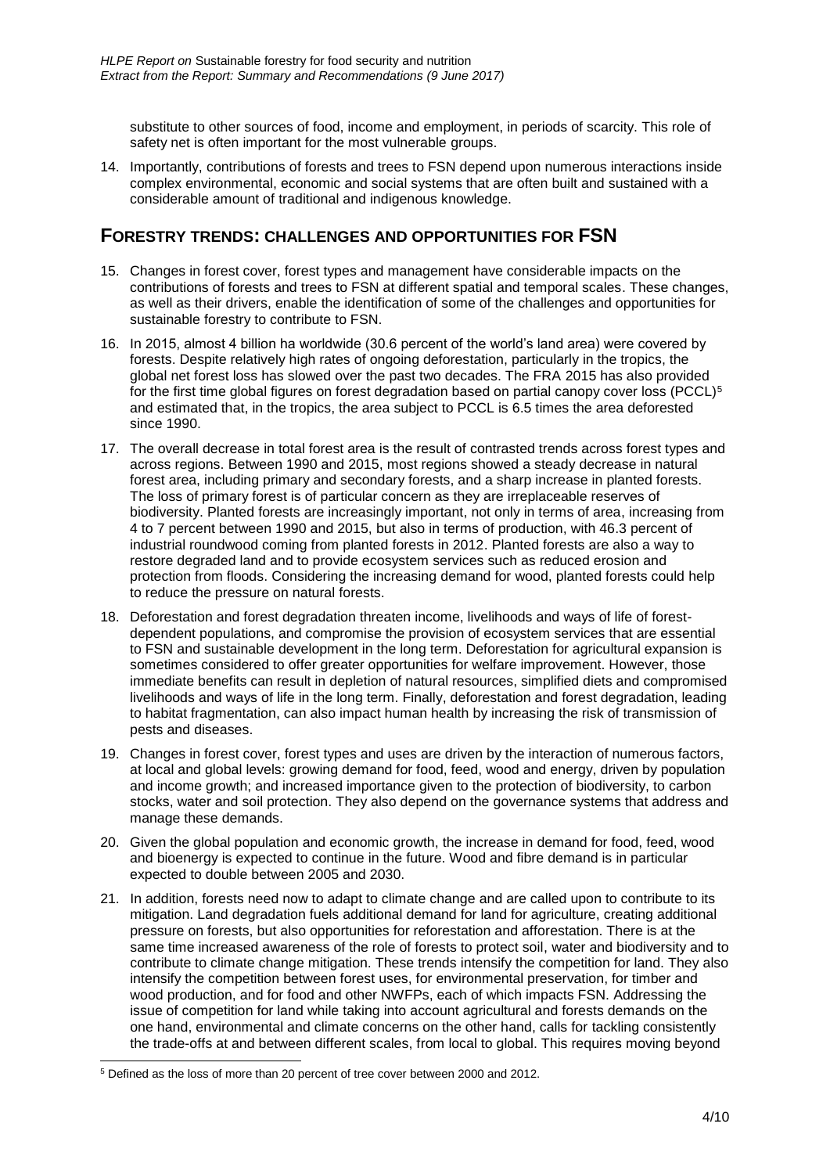substitute to other sources of food, income and employment, in periods of scarcity. This role of safety net is often important for the most vulnerable groups.

14. Importantly, contributions of forests and trees to FSN depend upon numerous interactions inside complex environmental, economic and social systems that are often built and sustained with a considerable amount of traditional and indigenous knowledge.

#### **FORESTRY TRENDS: CHALLENGES AND OPPORTUNITIES FOR FSN**

- 15. Changes in forest cover, forest types and management have considerable impacts on the contributions of forests and trees to FSN at different spatial and temporal scales. These changes, as well as their drivers, enable the identification of some of the challenges and opportunities for sustainable forestry to contribute to FSN.
- 16. In 2015, almost 4 billion ha worldwide (30.6 percent of the world's land area) were covered by forests. Despite relatively high rates of ongoing deforestation, particularly in the tropics, the global net forest loss has slowed over the past two decades. The FRA 2015 has also provided for the first time global figures on forest degradation based on partial canopy cover loss (PCCL)<sup>5</sup> and estimated that, in the tropics, the area subject to PCCL is 6.5 times the area deforested since 1990.
- 17. The overall decrease in total forest area is the result of contrasted trends across forest types and across regions. Between 1990 and 2015, most regions showed a steady decrease in natural forest area, including primary and secondary forests, and a sharp increase in planted forests. The loss of primary forest is of particular concern as they are irreplaceable reserves of biodiversity. Planted forests are increasingly important, not only in terms of area, increasing from 4 to 7 percent between 1990 and 2015, but also in terms of production, with 46.3 percent of industrial roundwood coming from planted forests in 2012. Planted forests are also a way to restore degraded land and to provide ecosystem services such as reduced erosion and protection from floods. Considering the increasing demand for wood, planted forests could help to reduce the pressure on natural forests.
- 18. Deforestation and forest degradation threaten income, livelihoods and ways of life of forestdependent populations, and compromise the provision of ecosystem services that are essential to FSN and sustainable development in the long term. Deforestation for agricultural expansion is sometimes considered to offer greater opportunities for welfare improvement. However, those immediate benefits can result in depletion of natural resources, simplified diets and compromised livelihoods and ways of life in the long term. Finally, deforestation and forest degradation, leading to habitat fragmentation, can also impact human health by increasing the risk of transmission of pests and diseases.
- 19. Changes in forest cover, forest types and uses are driven by the interaction of numerous factors, at local and global levels: growing demand for food, feed, wood and energy, driven by population and income growth; and increased importance given to the protection of biodiversity, to carbon stocks, water and soil protection. They also depend on the governance systems that address and manage these demands.
- 20. Given the global population and economic growth, the increase in demand for food, feed, wood and bioenergy is expected to continue in the future. Wood and fibre demand is in particular expected to double between 2005 and 2030.
- 21. In addition, forests need now to adapt to climate change and are called upon to contribute to its mitigation. Land degradation fuels additional demand for land for agriculture, creating additional pressure on forests, but also opportunities for reforestation and afforestation. There is at the same time increased awareness of the role of forests to protect soil, water and biodiversity and to contribute to climate change mitigation. These trends intensify the competition for land. They also intensify the competition between forest uses, for environmental preservation, for timber and wood production, and for food and other NWFPs, each of which impacts FSN. Addressing the issue of competition for land while taking into account agricultural and forests demands on the one hand, environmental and climate concerns on the other hand, calls for tackling consistently the trade-offs at and between different scales, from local to global. This requires moving beyond

<sup>1</sup> <sup>5</sup> Defined as the loss of more than 20 percent of tree cover between 2000 and 2012.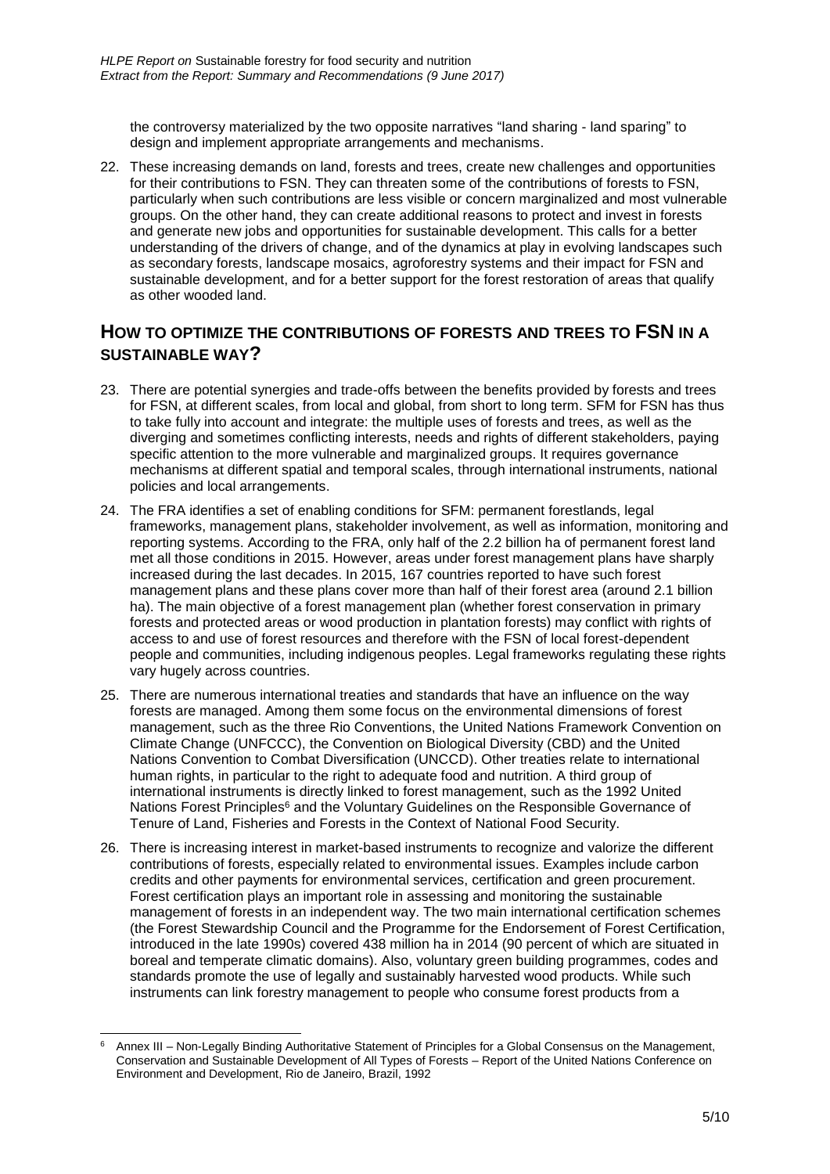the controversy materialized by the two opposite narratives "land sharing - land sparing" to design and implement appropriate arrangements and mechanisms.

22. These increasing demands on land, forests and trees, create new challenges and opportunities for their contributions to FSN. They can threaten some of the contributions of forests to FSN, particularly when such contributions are less visible or concern marginalized and most vulnerable groups. On the other hand, they can create additional reasons to protect and invest in forests and generate new jobs and opportunities for sustainable development. This calls for a better understanding of the drivers of change, and of the dynamics at play in evolving landscapes such as secondary forests, landscape mosaics, agroforestry systems and their impact for FSN and sustainable development, and for a better support for the forest restoration of areas that qualify as other wooded land.

### **HOW TO OPTIMIZE THE CONTRIBUTIONS OF FORESTS AND TREES TO FSN IN A SUSTAINABLE WAY?**

- 23. There are potential synergies and trade-offs between the benefits provided by forests and trees for FSN, at different scales, from local and global, from short to long term. SFM for FSN has thus to take fully into account and integrate: the multiple uses of forests and trees, as well as the diverging and sometimes conflicting interests, needs and rights of different stakeholders, paying specific attention to the more vulnerable and marginalized groups. It requires governance mechanisms at different spatial and temporal scales, through international instruments, national policies and local arrangements.
- 24. The FRA identifies a set of enabling conditions for SFM: permanent forestlands, legal frameworks, management plans, stakeholder involvement, as well as information, monitoring and reporting systems. According to the FRA, only half of the 2.2 billion ha of permanent forest land met all those conditions in 2015. However, areas under forest management plans have sharply increased during the last decades. In 2015, 167 countries reported to have such forest management plans and these plans cover more than half of their forest area (around 2.1 billion ha). The main objective of a forest management plan (whether forest conservation in primary forests and protected areas or wood production in plantation forests) may conflict with rights of access to and use of forest resources and therefore with the FSN of local forest-dependent people and communities, including indigenous peoples. Legal frameworks regulating these rights vary hugely across countries.
- 25. There are numerous international treaties and standards that have an influence on the way forests are managed. Among them some focus on the environmental dimensions of forest management, such as the three Rio Conventions, the United Nations Framework Convention on Climate Change (UNFCCC), the Convention on Biological Diversity (CBD) and the United Nations Convention to Combat Diversification (UNCCD). Other treaties relate to international human rights, in particular to the right to adequate food and nutrition. A third group of international instruments is directly linked to forest management, such as the 1992 United Nations Forest Principles<sup>6</sup> and the Voluntary Guidelines on the Responsible Governance of Tenure of Land, Fisheries and Forests in the Context of National Food Security.
- 26. There is increasing interest in market-based instruments to recognize and valorize the different contributions of forests, especially related to environmental issues. Examples include carbon credits and other payments for environmental services, certification and green procurement. Forest certification plays an important role in assessing and monitoring the sustainable management of forests in an independent way. The two main international certification schemes (the Forest Stewardship Council and the Programme for the Endorsement of Forest Certification, introduced in the late 1990s) covered 438 million ha in 2014 (90 percent of which are situated in boreal and temperate climatic domains). Also, voluntary green building programmes, codes and standards promote the use of legally and sustainably harvested wood products. While such instruments can link forestry management to people who consume forest products from a

<sup>-</sup><sup>6</sup> Annex III – Non-Legally Binding Authoritative Statement of Principles for a Global Consensus on the Management, Conservation and Sustainable Development of All Types of Forests – Report of the United Nations Conference on Environment and Development, Rio de Janeiro, Brazil, 1992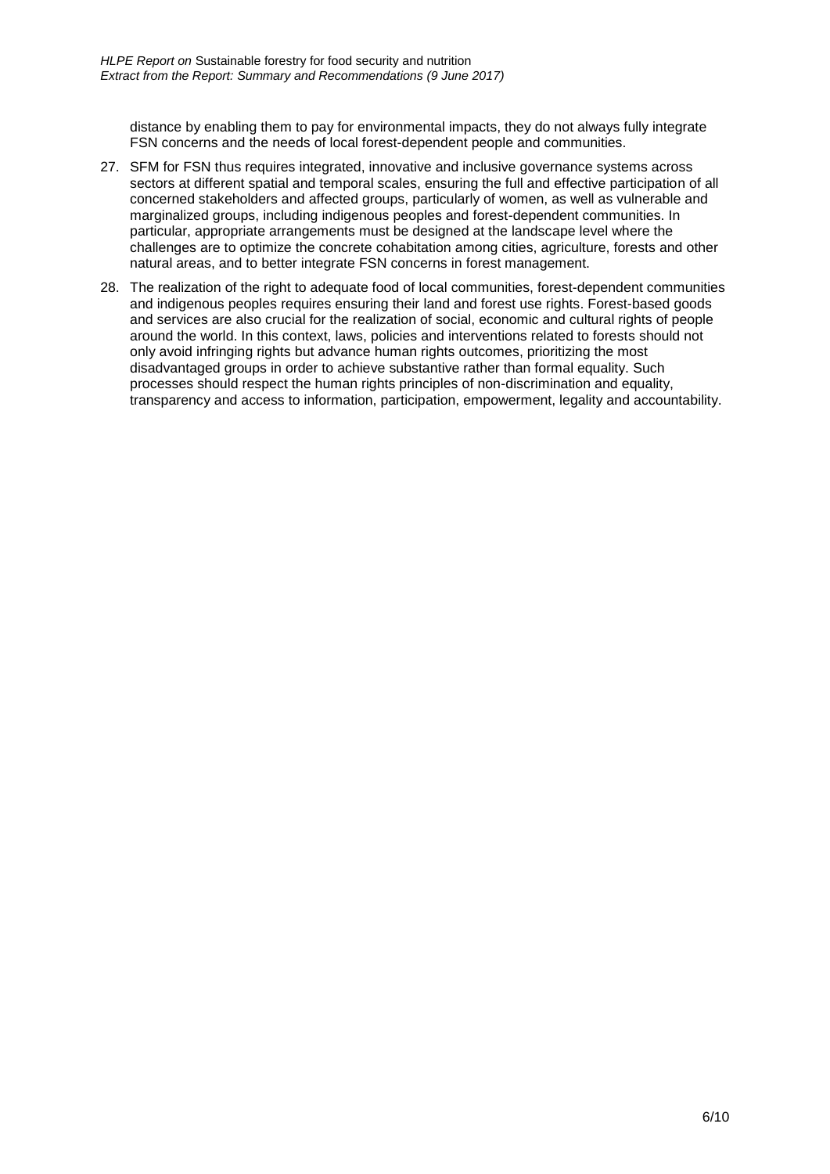distance by enabling them to pay for environmental impacts, they do not always fully integrate FSN concerns and the needs of local forest-dependent people and communities.

- 27. SFM for FSN thus requires integrated, innovative and inclusive governance systems across sectors at different spatial and temporal scales, ensuring the full and effective participation of all concerned stakeholders and affected groups, particularly of women, as well as vulnerable and marginalized groups, including indigenous peoples and forest-dependent communities. In particular, appropriate arrangements must be designed at the landscape level where the challenges are to optimize the concrete cohabitation among cities, agriculture, forests and other natural areas, and to better integrate FSN concerns in forest management.
- 28. The realization of the right to adequate food of local communities, forest-dependent communities and indigenous peoples requires ensuring their land and forest use rights. Forest-based goods and services are also crucial for the realization of social, economic and cultural rights of people around the world. In this context, laws, policies and interventions related to forests should not only avoid infringing rights but advance human rights outcomes, prioritizing the most disadvantaged groups in order to achieve substantive rather than formal equality. Such processes should respect the human rights principles of non-discrimination and equality, transparency and access to information, participation, empowerment, legality and accountability.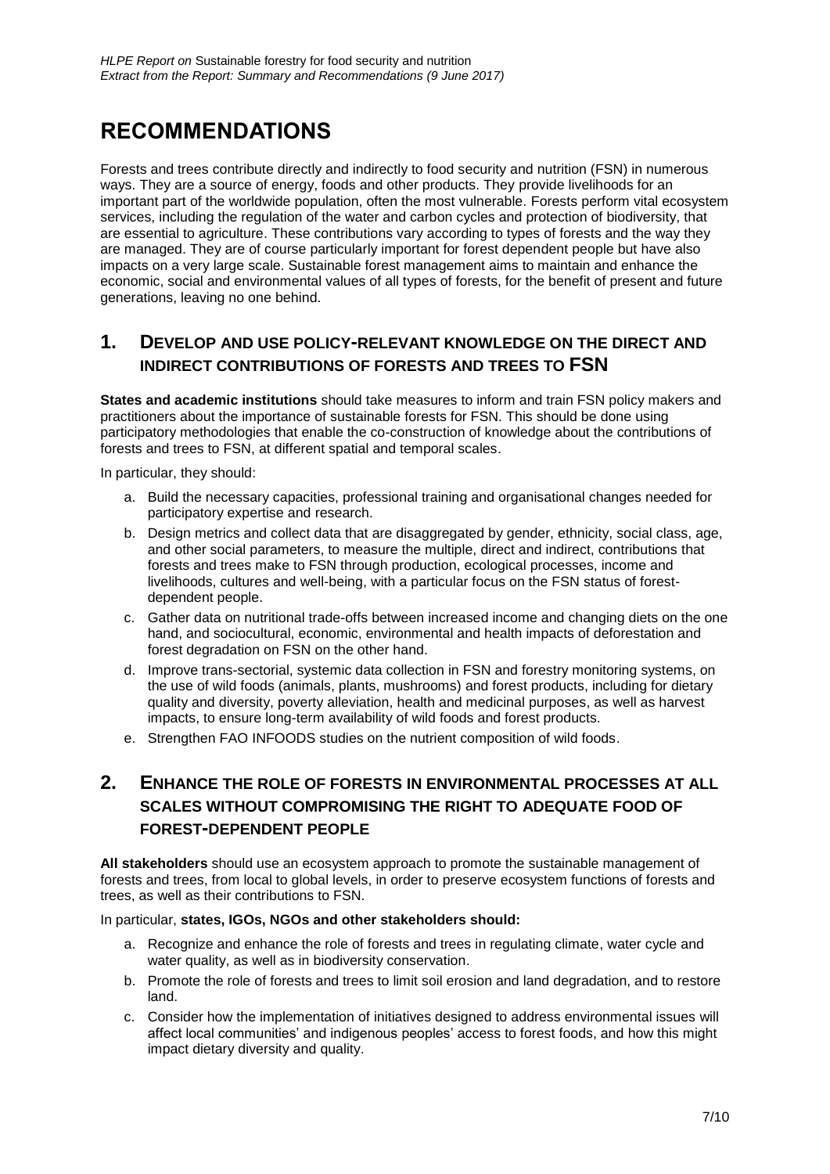## **RECOMMENDATIONS**

Forests and trees contribute directly and indirectly to food security and nutrition (FSN) in numerous ways. They are a source of energy, foods and other products. They provide livelihoods for an important part of the worldwide population, often the most vulnerable. Forests perform vital ecosystem services, including the regulation of the water and carbon cycles and protection of biodiversity, that are essential to agriculture. These contributions vary according to types of forests and the way they are managed. They are of course particularly important for forest dependent people but have also impacts on a very large scale. Sustainable forest management aims to maintain and enhance the economic, social and environmental values of all types of forests, for the benefit of present and future generations, leaving no one behind.

### **1. DEVELOP AND USE POLICY-RELEVANT KNOWLEDGE ON THE DIRECT AND INDIRECT CONTRIBUTIONS OF FORESTS AND TREES TO FSN**

**States and academic institutions** should take measures to inform and train FSN policy makers and practitioners about the importance of sustainable forests for FSN. This should be done using participatory methodologies that enable the co-construction of knowledge about the contributions of forests and trees to FSN, at different spatial and temporal scales.

In particular, they should:

- a. Build the necessary capacities, professional training and organisational changes needed for participatory expertise and research.
- b. Design metrics and collect data that are disaggregated by gender, ethnicity, social class, age, and other social parameters, to measure the multiple, direct and indirect, contributions that forests and trees make to FSN through production, ecological processes, income and livelihoods, cultures and well-being, with a particular focus on the FSN status of forestdependent people.
- c. Gather data on nutritional trade-offs between increased income and changing diets on the one hand, and sociocultural, economic, environmental and health impacts of deforestation and forest degradation on FSN on the other hand.
- d. Improve trans-sectorial, systemic data collection in FSN and forestry monitoring systems, on the use of wild foods (animals, plants, mushrooms) and forest products, including for dietary quality and diversity, poverty alleviation, health and medicinal purposes, as well as harvest impacts, to ensure long-term availability of wild foods and forest products.
- e. Strengthen FAO INFOODS studies on the nutrient composition of wild foods.

## **2. ENHANCE THE ROLE OF FORESTS IN ENVIRONMENTAL PROCESSES AT ALL SCALES WITHOUT COMPROMISING THE RIGHT TO ADEQUATE FOOD OF FOREST-DEPENDENT PEOPLE**

**All stakeholders** should use an ecosystem approach to promote the sustainable management of forests and trees, from local to global levels, in order to preserve ecosystem functions of forests and trees, as well as their contributions to FSN.

#### In particular, **states, IGOs, NGOs and other stakeholders should:**

- a. Recognize and enhance the role of forests and trees in regulating climate, water cycle and water quality, as well as in biodiversity conservation.
- b. Promote the role of forests and trees to limit soil erosion and land degradation, and to restore land.
- c. Consider how the implementation of initiatives designed to address environmental issues will affect local communities' and indigenous peoples' access to forest foods, and how this might impact dietary diversity and quality.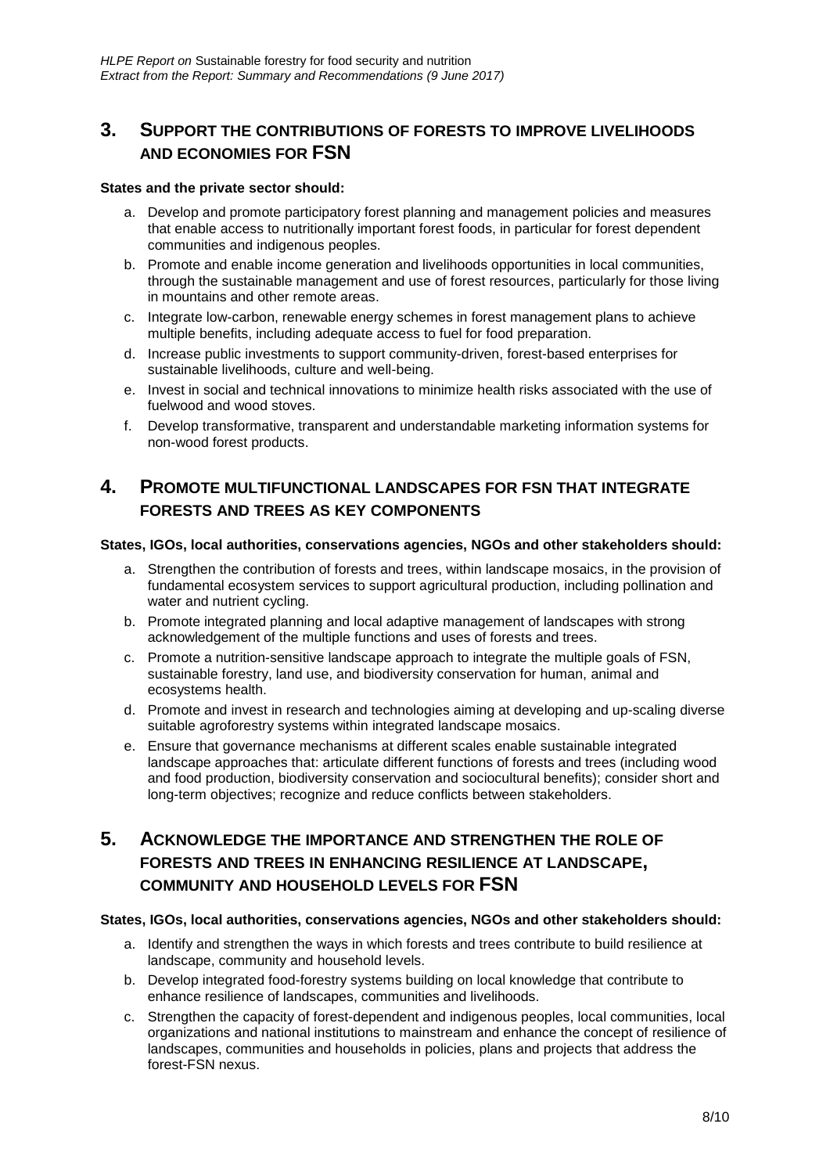### **3. SUPPORT THE CONTRIBUTIONS OF FORESTS TO IMPROVE LIVELIHOODS AND ECONOMIES FOR FSN**

#### **States and the private sector should:**

- a. Develop and promote participatory forest planning and management policies and measures that enable access to nutritionally important forest foods, in particular for forest dependent communities and indigenous peoples.
- b. Promote and enable income generation and livelihoods opportunities in local communities, through the sustainable management and use of forest resources, particularly for those living in mountains and other remote areas.
- c. Integrate low-carbon, renewable energy schemes in forest management plans to achieve multiple benefits, including adequate access to fuel for food preparation.
- d. Increase public investments to support community-driven, forest-based enterprises for sustainable livelihoods, culture and well-being.
- e. Invest in social and technical innovations to minimize health risks associated with the use of fuelwood and wood stoves.
- f. Develop transformative, transparent and understandable marketing information systems for non-wood forest products.

### **4. PROMOTE MULTIFUNCTIONAL LANDSCAPES FOR FSN THAT INTEGRATE FORESTS AND TREES AS KEY COMPONENTS**

#### **States, IGOs, local authorities, conservations agencies, NGOs and other stakeholders should:**

- a. Strengthen the contribution of forests and trees, within landscape mosaics, in the provision of fundamental ecosystem services to support agricultural production, including pollination and water and nutrient cycling.
- b. Promote integrated planning and local adaptive management of landscapes with strong acknowledgement of the multiple functions and uses of forests and trees.
- c. Promote a nutrition-sensitive landscape approach to integrate the multiple goals of FSN, sustainable forestry, land use, and biodiversity conservation for human, animal and ecosystems health.
- d. Promote and invest in research and technologies aiming at developing and up-scaling diverse suitable agroforestry systems within integrated landscape mosaics.
- e. Ensure that governance mechanisms at different scales enable sustainable integrated landscape approaches that: articulate different functions of forests and trees (including wood and food production, biodiversity conservation and sociocultural benefits); consider short and long-term objectives; recognize and reduce conflicts between stakeholders.

### **5. ACKNOWLEDGE THE IMPORTANCE AND STRENGTHEN THE ROLE OF FORESTS AND TREES IN ENHANCING RESILIENCE AT LANDSCAPE, COMMUNITY AND HOUSEHOLD LEVELS FOR FSN**

#### **States, IGOs, local authorities, conservations agencies, NGOs and other stakeholders should:**

- a. Identify and strengthen the ways in which forests and trees contribute to build resilience at landscape, community and household levels.
- b. Develop integrated food-forestry systems building on local knowledge that contribute to enhance resilience of landscapes, communities and livelihoods.
- c. Strengthen the capacity of forest-dependent and indigenous peoples, local communities, local organizations and national institutions to mainstream and enhance the concept of resilience of landscapes, communities and households in policies, plans and projects that address the forest-FSN nexus.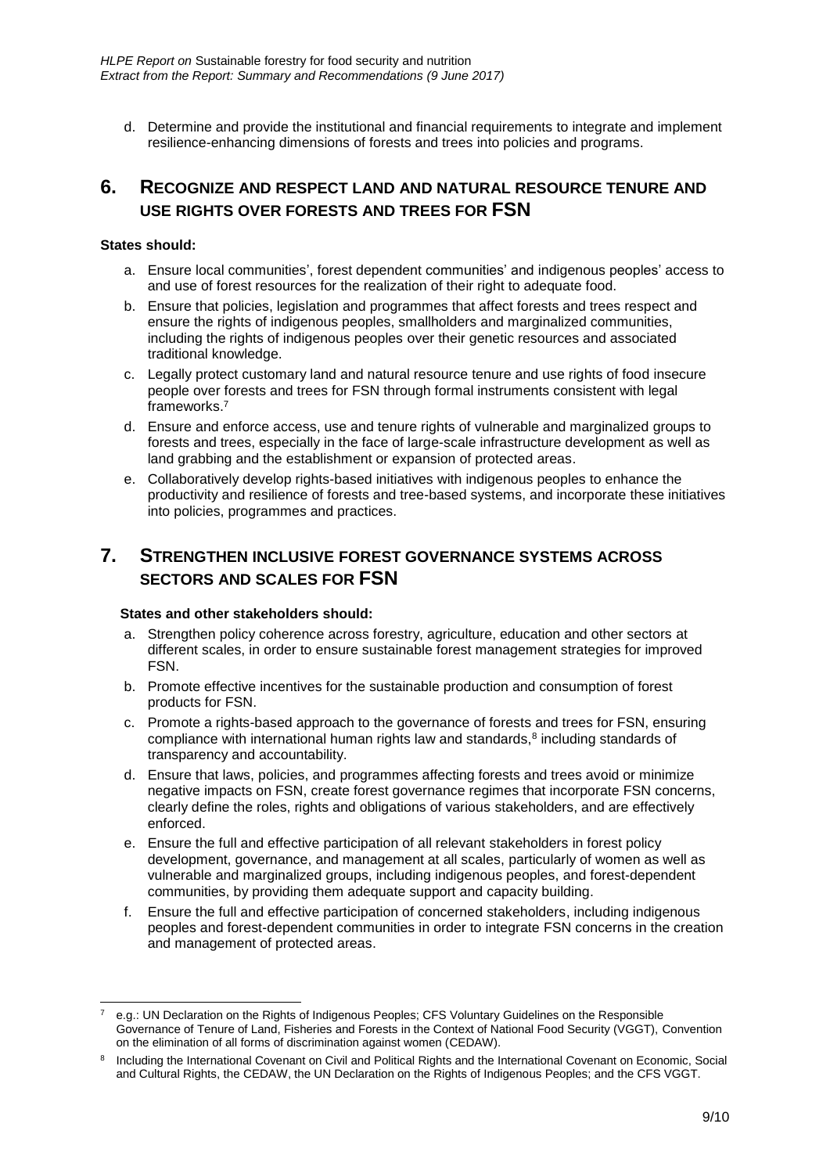d. Determine and provide the institutional and financial requirements to integrate and implement resilience-enhancing dimensions of forests and trees into policies and programs.

#### **6. RECOGNIZE AND RESPECT LAND AND NATURAL RESOURCE TENURE AND USE RIGHTS OVER FORESTS AND TREES FOR FSN**

#### **States should:**

- a. Ensure local communities', forest dependent communities' and indigenous peoples' access to and use of forest resources for the realization of their right to adequate food.
- b. Ensure that policies, legislation and programmes that affect forests and trees respect and ensure the rights of indigenous peoples, smallholders and marginalized communities, including the rights of indigenous peoples over their genetic resources and associated traditional knowledge.
- c. Legally protect customary land and natural resource tenure and use rights of food insecure people over forests and trees for FSN through formal instruments consistent with legal frameworks.<sup>7</sup>
- d. Ensure and enforce access, use and tenure rights of vulnerable and marginalized groups to forests and trees, especially in the face of large-scale infrastructure development as well as land grabbing and the establishment or expansion of protected areas.
- e. Collaboratively develop rights-based initiatives with indigenous peoples to enhance the productivity and resilience of forests and tree-based systems, and incorporate these initiatives into policies, programmes and practices.

#### **7. STRENGTHEN INCLUSIVE FOREST GOVERNANCE SYSTEMS ACROSS SECTORS AND SCALES FOR FSN**

#### **States and other stakeholders should:**

- a. Strengthen policy coherence across forestry, agriculture, education and other sectors at different scales, in order to ensure sustainable forest management strategies for improved FSN.
- b. Promote effective incentives for the sustainable production and consumption of forest products for FSN.
- c. Promote a rights-based approach to the governance of forests and trees for FSN, ensuring compliance with international human rights law and standards, $8$  including standards of transparency and accountability.
- d. Ensure that laws, policies, and programmes affecting forests and trees avoid or minimize negative impacts on FSN, create forest governance regimes that incorporate FSN concerns, clearly define the roles, rights and obligations of various stakeholders, and are effectively enforced.
- e. Ensure the full and effective participation of all relevant stakeholders in forest policy development, governance, and management at all scales, particularly of women as well as vulnerable and marginalized groups, including indigenous peoples, and forest-dependent communities, by providing them adequate support and capacity building.
- f. Ensure the full and effective participation of concerned stakeholders, including indigenous peoples and forest-dependent communities in order to integrate FSN concerns in the creation and management of protected areas.

<sup>-</sup><sup>7</sup> e.g.: UN Declaration on the Rights of Indigenous Peoples; CFS Voluntary Guidelines on the Responsible Governance of Tenure of Land, Fisheries and Forests in the Context of National Food Security (VGGT), Convention on the elimination of all forms of discrimination against women (CEDAW).

<sup>8</sup> Including the International Covenant on Civil and Political Rights and the International Covenant on Economic, Social and Cultural Rights, the CEDAW, the UN Declaration on the Rights of Indigenous Peoples; and the CFS VGGT.